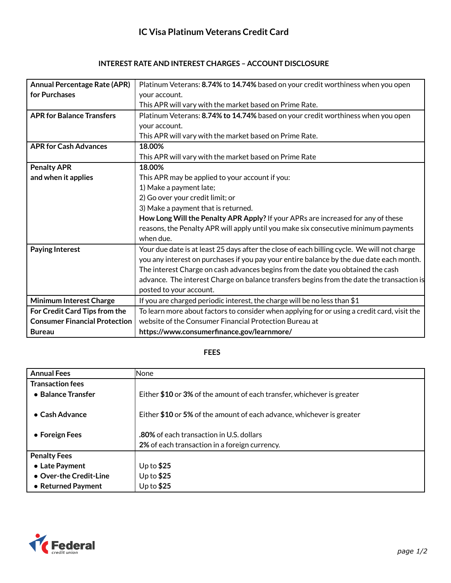| <b>Annual Percentage Rate (APR)</b>  | Platinum Veterans: 8.74% to 14.74% based on your credit worthiness when you open            |
|--------------------------------------|---------------------------------------------------------------------------------------------|
| for Purchases                        | your account.                                                                               |
|                                      | This APR will vary with the market based on Prime Rate.                                     |
| <b>APR for Balance Transfers</b>     | Platinum Veterans: 8.74% to 14.74% based on your credit worthiness when you open            |
|                                      | your account.                                                                               |
|                                      | This APR will vary with the market based on Prime Rate.                                     |
| <b>APR for Cash Advances</b>         | 18.00%                                                                                      |
|                                      | This APR will vary with the market based on Prime Rate                                      |
| <b>Penalty APR</b>                   | 18.00%                                                                                      |
| and when it applies                  | This APR may be applied to your account if you:                                             |
|                                      | 1) Make a payment late;                                                                     |
|                                      | 2) Go over your credit limit; or                                                            |
|                                      | 3) Make a payment that is returned.                                                         |
|                                      | How Long Will the Penalty APR Apply? If your APRs are increased for any of these            |
|                                      | reasons, the Penalty APR will apply until you make six consecutive minimum payments         |
|                                      | when due.                                                                                   |
| <b>Paying Interest</b>               | Your due date is at least 25 days after the close of each billing cycle. We will not charge |
|                                      | you any interest on purchases if you pay your entire balance by the due date each month.    |
|                                      | The interest Charge on cash advances begins from the date you obtained the cash             |
|                                      | advance. The interest Charge on balance transfers begins from the date the transaction is   |
|                                      | posted to your account.                                                                     |
| <b>Minimum Interest Charge</b>       | If you are charged periodic interest, the charge will be no less than \$1                   |
| For Credit Card Tips from the        | To learn more about factors to consider when applying for or using a credit card, visit the |
| <b>Consumer Financial Protection</b> | website of the Consumer Financial Protection Bureau at                                      |
| <b>Bureau</b>                        | https://www.consumerfinance.gov/learnmore/                                                  |

## **FEES**

| <b>Annual Fees</b>      | <b>None</b>                                                            |
|-------------------------|------------------------------------------------------------------------|
| <b>Transaction fees</b> |                                                                        |
| • Balance Transfer      | Either \$10 or 3% of the amount of each transfer, whichever is greater |
|                         |                                                                        |
| $\bullet$ Cash Advance  | Either \$10 or 5% of the amount of each advance, whichever is greater  |
|                         |                                                                        |
| • Foreign Fees          | <b>.80%</b> of each transaction in U.S. dollars                        |
|                         | 2% of each transaction in a foreign currency.                          |
| <b>Penalty Fees</b>     |                                                                        |
| • Late Payment          | Up to $$25$                                                            |
| • Over-the Credit-Line  | Up to $$25$                                                            |
| • Returned Payment      | Up to $$25$                                                            |